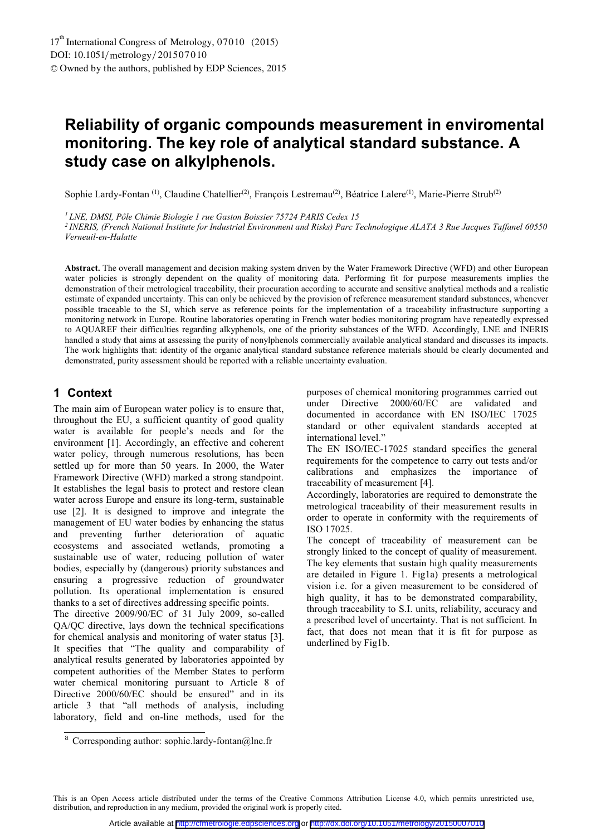# **Reliability of organic compounds measurement in enviromental monitoring. The key role of analytical standard substance. A study case on alkylphenols.**

Sophie Lardy-Fontan<sup>(1)</sup>, Claudine Chatellier<sup>(2)</sup>, François Lestremau<sup>(2)</sup>, Béatrice Lalere<sup>(1)</sup>, Marie-Pierre Strub<sup>(2)</sup>

*1 LNE, DMSI, Pôle Chimie Biologie 1 rue Gaston Boissier 75724 PARIS Cedex 15* 

*2 INERIS, (French National Institute for Industrial Environment and Risks) Parc Technologique ALATA 3 Rue Jacques Taffanel 60550 Verneuil-en-Halatte* 

**Abstract.** The overall management and decision making system driven by the Water Framework Directive (WFD) and other European water policies is strongly dependent on the quality of monitoring data. Performing fit for purpose measurements implies the demonstration of their metrological traceability, their procuration according to accurate and sensitive analytical methods and a realistic estimate of expanded uncertainty. This can only be achieved by the provision of reference measurement standard substances, whenever possible traceable to the SI, which serve as reference points for the implementation of a traceability infrastructure supporting a monitoring network in Europe. Routine laboratories operating in French water bodies monitoring program have repeatedly expressed to AQUAREF their difficulties regarding alkyphenols, one of the priority substances of the WFD. Accordingly, LNE and INERIS handled a study that aims at assessing the purity of nonylphenols commercially available analytical standard and discusses its impacts. The work highlights that: identity of the organic analytical standard substance reference materials should be clearly documented and demonstrated, purity assessment should be reported with a reliable uncertainty evaluation.

## **1 Context**

The main aim of European water policy is to ensure that, throughout the EU, a sufficient quantity of good quality water is available for people's needs and for the environment [1]. Accordingly, an effective and coherent water policy, through numerous resolutions, has been settled up for more than 50 years. In 2000, the Water Framework Directive (WFD) marked a strong standpoint. It establishes the legal basis to protect and restore clean water across Europe and ensure its long-term, sustainable use [2]. It is designed to improve and integrate the management of EU water bodies by enhancing the status and preventing further deterioration of aquatic ecosystems and associated wetlands, promoting a sustainable use of water, reducing pollution of water bodies, especially by (dangerous) priority substances and ensuring a progressive reduction of groundwater pollution. Its operational implementation is ensured thanks to a set of directives addressing specific points. The directive 2009/90/EC of 31 July 2009, so-called QA/QC directive, lays down the technical specifications for chemical analysis and monitoring of water status [3]. It specifies that "The quality and comparability of analytical results generated by laboratories appointed by

competent authorities of the Member States to perform water chemical monitoring pursuant to Article 8 of Directive 2000/60/EC should be ensured" and in its article 3 that "all methods of analysis, including laboratory, field and on-line methods, used for the purposes of chemical monitoring programmes carried out under Directive 2000/60/EC are validated and documented in accordance with EN ISO/IEC 17025 standard or other equivalent standards accepted at international level."

The EN ISO/IEC-17025 standard specifies the general requirements for the competence to carry out tests and/or calibrations and emphasizes the importance of traceability of measurement [4].

Accordingly, laboratories are required to demonstrate the metrological traceability of their measurement results in order to operate in conformity with the requirements of ISO 17025.

The concept of traceability of measurement can be strongly linked to the concept of quality of measurement. The key elements that sustain high quality measurements are detailed in Figure 1. Fig1a) presents a metrological vision i.e. for a given measurement to be considered of high quality, it has to be demonstrated comparability, through traceability to S.I. units, reliability, accuracy and a prescribed level of uncertainty. That is not sufficient. In fact, that does not mean that it is fit for purpose as underlined by Fig1b.

This is an Open Access article distributed under the terms of the Creative Commons Attribution License 4.0, which permits unrestricted use, distribution, and reproduction in any medium, provided the original work is properly cited.

<sup>&</sup>lt;sup>a</sup> Corresponding author: sophie.lardy-fontan@lne.fr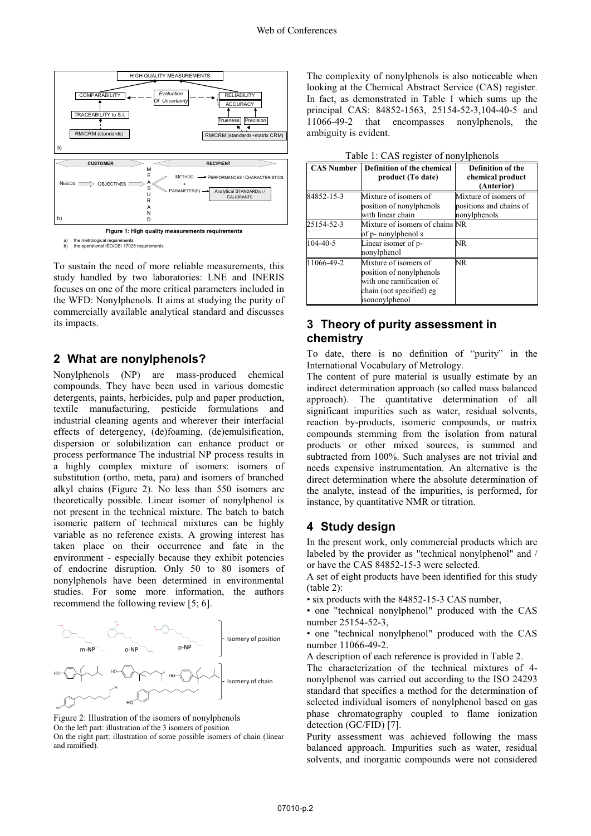

a) the metrological requirements b) the operational ISO/CEI 17025 requirements

To sustain the need of more reliable measurements, this study handled by two laboratories: LNE and INERIS focuses on one of the more critical parameters included in the WFD: Nonylphenols. It aims at studying the purity of commercially available analytical standard and discusses its impacts.

#### **2 What are nonylphenols?**

Nonylphenols (NP) are mass-produced chemical compounds. They have been used in various domestic detergents, paints, herbicides, pulp and paper production, textile manufacturing, pesticide formulations and industrial cleaning agents and wherever their interfacial effects of detergency, (de)foaming, (de)emulsification, dispersion or solubilization can enhance product or process performance The industrial NP process results in a highly complex mixture of isomers: isomers of substitution (ortho, meta, para) and isomers of branched alkyl chains (Figure 2). No less than 550 isomers are theoretically possible. Linear isomer of nonylphenol is not present in the technical mixture. The batch to batch isomeric pattern of technical mixtures can be highly variable as no reference exists. A growing interest has taken place on their occurrence and fate in the environment - especially because they exhibit potencies of endocrine disruption. Only 50 to 80 isomers of nonylphenols have been determined in environmental studies. For some more information, the authors recommend the following review [5; 6].



Figure 2: Illustration of the isomers of nonylphenols On the left part: illustration of the 3 isomers of position On the right part: illustration of some possible isomers of chain (linear and ramified).

The complexity of nonylphenols is also noticeable when looking at the Chemical Abstract Service (CAS) register. In fact, as demonstrated in Table 1 which sums up the principal CAS: 84852-1563, 25154-52-3,104-40-5 and 11066-49-2 that encompasses nonylphenols, the ambiguity is evident.

| <b>CAS Number</b> | Definition of the chemical<br>product (To date)                                                                             | Definition of the<br>chemical product<br>(Anterior)              |
|-------------------|-----------------------------------------------------------------------------------------------------------------------------|------------------------------------------------------------------|
| 84852-15-3        | Mixture of isomers of<br>position of nonylphenols<br>with linear chain                                                      | Mixture of isomers of<br>positions and chains of<br>nonylphenols |
| 25154-52-3        | Mixture of isomers of chains NR<br>of p- nonylphenol s                                                                      |                                                                  |
| $104 - 40 - 5$    | Linear isomer of p-<br>nonylphenol                                                                                          | NR.                                                              |
| 11066-49-2        | Mixture of isomers of<br>position of nonylphenols<br>with one ramification of<br>chain (not specified) eg<br>isononylphenol | NR.                                                              |

## **3 Theory of purity assessment in chemistry**

To date, there is no definition of "purity" in the International Vocabulary of Metrology.

The content of pure material is usually estimate by an indirect determination approach (so called mass balanced approach). The quantitative determination of all significant impurities such as water, residual solvents, reaction by-products, isomeric compounds, or matrix compounds stemming from the isolation from natural products or other mixed sources, is summed and subtracted from 100%. Such analyses are not trivial and needs expensive instrumentation. An alternative is the direct determination where the absolute determination of the analyte, instead of the impurities, is performed, for instance, by quantitative NMR or titration.

#### **4 Study design**

In the present work, only commercial products which are labeled by the provider as "technical nonylphenol" and / or have the CAS 84852-15-3 were selected.

A set of eight products have been identified for this study (table 2):

• six products with the 84852-15-3 CAS number,

• one "technical nonylphenol" produced with the CAS number 25154-52-3,

• one "technical nonylphenol" produced with the CAS number 11066-49-2.

A description of each reference is provided in Table 2.

The characterization of the technical mixtures of 4 nonylphenol was carried out according to the ISO 24293 standard that specifies a method for the determination of selected individual isomers of nonylphenol based on gas phase chromatography coupled to flame ionization detection (GC/FID) [7].

Purity assessment was achieved following the mass balanced approach. Impurities such as water, residual solvents, and inorganic compounds were not considered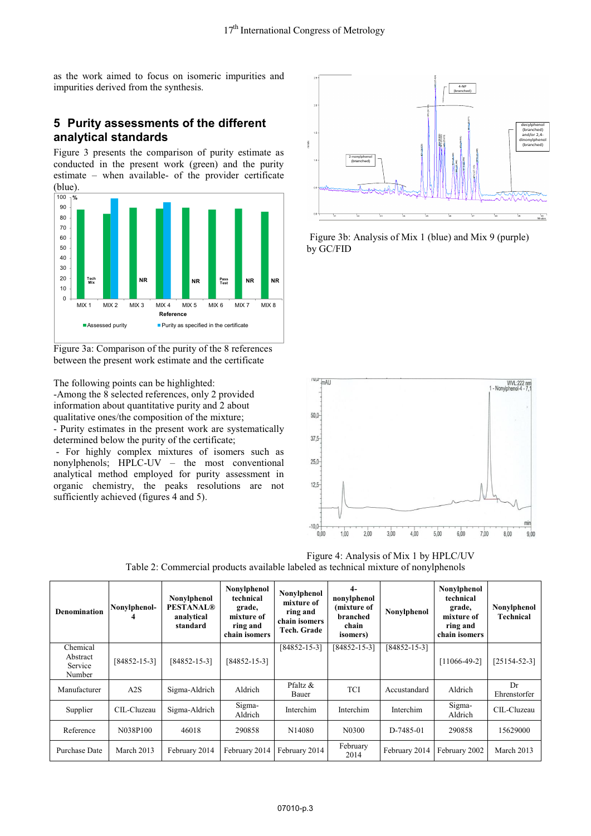as the work aimed to focus on isomeric impurities and impurities derived from the synthesis.

# **5 Purity assessments of the different analytical standards**

Figure 3 presents the comparison of purity estimate as conducted in the present work (green) and the purity estimate – when available- of the provider certificate (blue).



Figure 3a: Comparison of the purity of the 8 references between the present work estimate and the certificate

The following points can be highlighted:

Τ

-Among the 8 selected references, only 2 provided information about quantitative purity and 2 about qualitative ones/the composition of the mixture; - Purity estimates in the present work are systematically determined below the purity of the certificate;

 - For highly complex mixtures of isomers such as nonylphenols; HPLC-UV – the most conventional analytical method employed for purity assessment in organic chemistry, the peaks resolutions are not sufficiently achieved (figures 4 and 5).



Figure 3b: Analysis of Mix 1 (blue) and Mix 9 (purple) by GC/FID



Table 2: Commercial products available labeled as technical mixture of nonylphenols **Nonylphenol**  Τ **4- Nonylphenol Nonylphenol Nonylphenol technical nonylphenol technical mixture of** 

| <b>Denomination</b>                       | Nonylphenol-<br>4  | Nonylphenol<br><b>PESTANAL®</b><br>analytical<br>standard | Nonyiphenoi<br>technical<br>grade,<br>mixture of<br>ring and<br>chain isomers | Nonylphenol<br>mixture of<br>ring and<br>chain isomers<br>Tech. Grade | 4-<br>nonylphenol<br>(mixture of<br>branched<br>chain<br><i>isomers</i> ) | Nonylphenol        | Nonyiphenoi<br>technical<br>grade,<br>mixture of<br>ring and<br>chain isomers | Nonylphenol<br>Technical |
|-------------------------------------------|--------------------|-----------------------------------------------------------|-------------------------------------------------------------------------------|-----------------------------------------------------------------------|---------------------------------------------------------------------------|--------------------|-------------------------------------------------------------------------------|--------------------------|
| Chemical<br>Abstract<br>Service<br>Number | $[84852 - 15 - 3]$ | $[84852 - 15 - 3]$                                        | $[84852 - 15 - 3]$                                                            | $[84852 - 15 - 3]$                                                    | $[84852 - 15 - 3]$                                                        | $[84852 - 15 - 3]$ | $[11066-49-2]$                                                                | $[25154 - 52 - 3]$       |
| Manufacturer                              | A2S                | Sigma-Aldrich                                             | Aldrich                                                                       | Pfaltz &<br>Bauer                                                     | <b>TCI</b>                                                                | Accustandard       | Aldrich                                                                       | Dr<br>Ehrenstorfer       |
| Supplier                                  | CIL-Cluzeau        | Sigma-Aldrich                                             | Sigma-<br>Aldrich                                                             | Interchim                                                             | Interchim                                                                 | Interchim          | Sigma-<br>Aldrich                                                             | CIL-Cluzeau              |
| Reference                                 | N038P100           | 46018                                                     | 290858                                                                        | N <sub>14080</sub>                                                    | N0300                                                                     | D-7485-01          | 290858                                                                        | 15629000                 |
| Purchase Date                             | March 2013         | February 2014                                             | February 2014                                                                 | February 2014                                                         | February<br>2014                                                          | February 2014      | February 2002                                                                 | March 2013               |